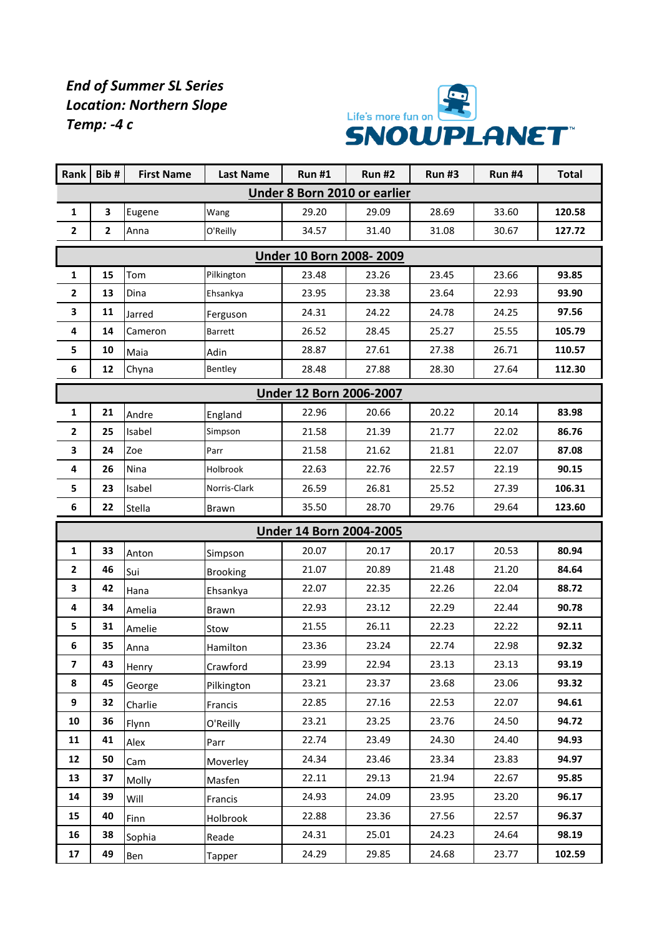## *End of Summer SL Series Location: Northern Slope Temp: -4 c*



| <b>Rank</b>                    | Bib#           | <b>First Name</b> | <b>Last Name</b> | <b>Run#1</b>                   | <b>Run#2</b> | <b>Run#3</b> | <b>Run #4</b> | <b>Total</b> |  |  |  |  |
|--------------------------------|----------------|-------------------|------------------|--------------------------------|--------------|--------------|---------------|--------------|--|--|--|--|
| Under 8 Born 2010 or earlier   |                |                   |                  |                                |              |              |               |              |  |  |  |  |
| $\mathbf{1}$                   | 3              | Eugene            | Wang             | 29.20                          | 29.09        | 28.69        | 33.60         | 120.58       |  |  |  |  |
| $\mathbf{2}$                   | $\overline{2}$ | Anna              | O'Reilly         | 34.57                          | 31.40        | 31.08        | 30.67         | 127.72       |  |  |  |  |
| <b>Under 10 Born 2008-2009</b> |                |                   |                  |                                |              |              |               |              |  |  |  |  |
| $\mathbf{1}$                   | 15             | Tom               | Pilkington       | 23.48                          | 23.26        | 23.45        | 23.66         | 93.85        |  |  |  |  |
| $\mathbf{2}$                   | 13             | Dina              | Ehsankya         | 23.95                          | 23.38        | 23.64        | 22.93         | 93.90        |  |  |  |  |
| 3                              | 11             | Jarred            | Ferguson         | 24.31                          | 24.22        | 24.78        | 24.25         | 97.56        |  |  |  |  |
| 4                              | 14             | Cameron           | <b>Barrett</b>   | 26.52                          | 28.45        | 25.27        | 25.55         | 105.79       |  |  |  |  |
| 5                              | 10             | Maia              | Adin             | 28.87                          | 27.61        | 27.38        | 26.71         | 110.57       |  |  |  |  |
| 6                              | 12             | Chyna             | Bentley          | 28.48                          | 27.88        | 28.30        | 27.64         | 112.30       |  |  |  |  |
| <b>Under 12 Born 2006-2007</b> |                |                   |                  |                                |              |              |               |              |  |  |  |  |
| $\mathbf{1}$                   | 21             | Andre             | England          | 22.96                          | 20.66        | 20.22        | 20.14         | 83.98        |  |  |  |  |
| $\mathbf{2}$                   | 25             | Isabel            | Simpson          | 21.58                          | 21.39        | 21.77        | 22.02         | 86.76        |  |  |  |  |
| 3                              | 24             | Zoe               | Parr             | 21.58                          | 21.62        | 21.81        | 22.07         | 87.08        |  |  |  |  |
| 4                              | 26             | Nina              | Holbrook         | 22.63                          | 22.76        | 22.57        | 22.19         | 90.15        |  |  |  |  |
| 5                              | 23             | Isabel            | Norris-Clark     | 26.59                          | 26.81        | 25.52        | 27.39         | 106.31       |  |  |  |  |
| 6                              | 22             | Stella            | <b>Brawn</b>     | 35.50                          | 28.70        | 29.76        | 29.64         | 123.60       |  |  |  |  |
|                                |                |                   |                  | <b>Under 14 Born 2004-2005</b> |              |              |               |              |  |  |  |  |
| $\mathbf{1}$                   | 33             | Anton             | Simpson          | 20.07                          | 20.17        | 20.17        | 20.53         | 80.94        |  |  |  |  |
| $\mathbf{2}$                   | 46             | Sui               | <b>Brooking</b>  | 21.07                          | 20.89        | 21.48        | 21.20         | 84.64        |  |  |  |  |
| 3                              | 42             | Hana              | Ehsankya         | 22.07                          | 22.35        | 22.26        | 22.04         | 88.72        |  |  |  |  |
| 4                              | 34             | Amelia            | <b>Brawn</b>     | 22.93                          | 23.12        | 22.29        | 22.44         | 90.78        |  |  |  |  |
| 5                              | 31             | Amelie            | Stow             | 21.55                          | 26.11        | 22.23        | 22.22         | 92.11        |  |  |  |  |
| 6                              | 35             | Anna              | Hamilton         | 23.36                          | 23.24        | 22.74        | 22.98         | 92.32        |  |  |  |  |
| $\overline{\mathbf{z}}$        | 43             | Henry             | Crawford         | 23.99                          | 22.94        | 23.13        | 23.13         | 93.19        |  |  |  |  |
| 8                              | 45             | George            | Pilkington       | 23.21                          | 23.37        | 23.68        | 23.06         | 93.32        |  |  |  |  |
| 9                              | 32             | Charlie           | Francis          | 22.85                          | 27.16        | 22.53        | 22.07         | 94.61        |  |  |  |  |
| 10                             | 36             | Flynn             | O'Reilly         | 23.21                          | 23.25        | 23.76        | 24.50         | 94.72        |  |  |  |  |
| 11                             | 41             | Alex              | Parr             | 22.74                          | 23.49        | 24.30        | 24.40         | 94.93        |  |  |  |  |
| 12                             | 50             | Cam               | Moverley         | 24.34                          | 23.46        | 23.34        | 23.83         | 94.97        |  |  |  |  |
| 13                             | 37             | Molly             | Masfen           | 22.11                          | 29.13        | 21.94        | 22.67         | 95.85        |  |  |  |  |
| 14                             | 39             | Will              | Francis          | 24.93                          | 24.09        | 23.95        | 23.20         | 96.17        |  |  |  |  |
| 15                             | 40             | Finn              | Holbrook         | 22.88                          | 23.36        | 27.56        | 22.57         | 96.37        |  |  |  |  |
| 16                             | 38             | Sophia            | Reade            | 24.31                          | 25.01        | 24.23        | 24.64         | 98.19        |  |  |  |  |
| 17                             | 49             | Ben               | <b>Tapper</b>    | 24.29                          | 29.85        | 24.68        | 23.77         | 102.59       |  |  |  |  |